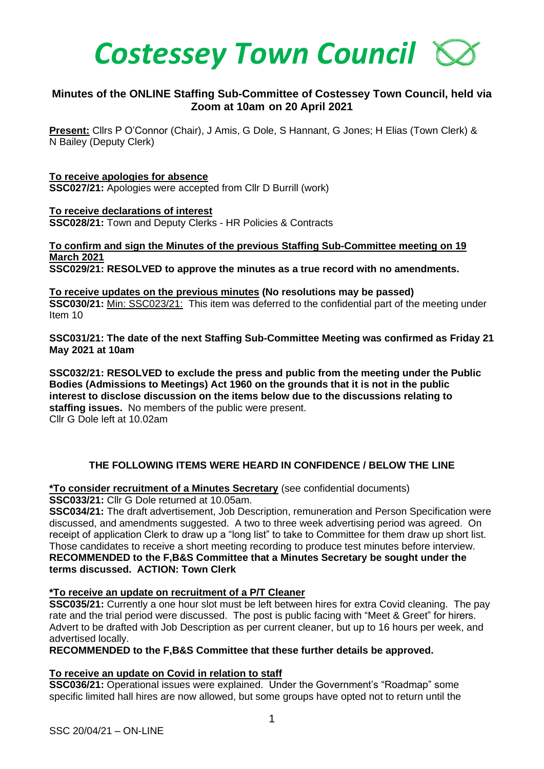

# **Minutes of the ONLINE Staffing Sub-Committee of Costessey Town Council, held via Zoom at 10am on 20 April 2021**

**Present:** Cllrs P O'Connor (Chair), J Amis, G Dole, S Hannant, G Jones; H Elias (Town Clerk) & N Bailey (Deputy Clerk)

### **To receive apologies for absence**

**SSC027/21:** Apologies were accepted from Cllr D Burrill (work)

**To receive declarations of interest SSC028/21:** Town and Deputy Clerks - HR Policies & Contracts

**To confirm and sign the Minutes of the previous Staffing Sub-Committee meeting on 19 March 2021 SSC029/21: RESOLVED to approve the minutes as a true record with no amendments.**

**To receive updates on the previous minutes (No resolutions may be passed) SSC030/21:** Min: SSC023/21: This item was deferred to the confidential part of the meeting under Item 10

**SSC031/21: The date of the next Staffing Sub-Committee Meeting was confirmed as Friday 21 May 2021 at 10am** 

**SSC032/21: RESOLVED to exclude the press and public from the meeting under the Public Bodies (Admissions to Meetings) Act 1960 on the grounds that it is not in the public interest to disclose discussion on the items below due to the discussions relating to staffing issues.** No members of the public were present. Cllr G Dole left at 10.02am

## **THE FOLLOWING ITEMS WERE HEARD IN CONFIDENCE / BELOW THE LINE**

**\*To consider recruitment of a Minutes Secretary** (see confidential documents)

**SSC033/21:** Cllr G Dole returned at 10.05am.

**SSC034/21:** The draft advertisement, Job Description, remuneration and Person Specification were discussed, and amendments suggested. A two to three week advertising period was agreed. On receipt of application Clerk to draw up a "long list" to take to Committee for them draw up short list. Those candidates to receive a short meeting recording to produce test minutes before interview. **RECOMMENDED to the F,B&S Committee that a Minutes Secretary be sought under the terms discussed. ACTION: Town Clerk**

## **\*To receive an update on recruitment of a P/T Cleaner**

**SSC035/21:** Currently a one hour slot must be left between hires for extra Covid cleaning. The pay rate and the trial period were discussed. The post is public facing with "Meet & Greet" for hirers. Advert to be drafted with Job Description as per current cleaner, but up to 16 hours per week, and advertised locally.

**RECOMMENDED to the F,B&S Committee that these further details be approved.**

## **To receive an update on Covid in relation to staff**

**SSC036/21:** Operational issues were explained. Under the Government's "Roadmap" some specific limited hall hires are now allowed, but some groups have opted not to return until the